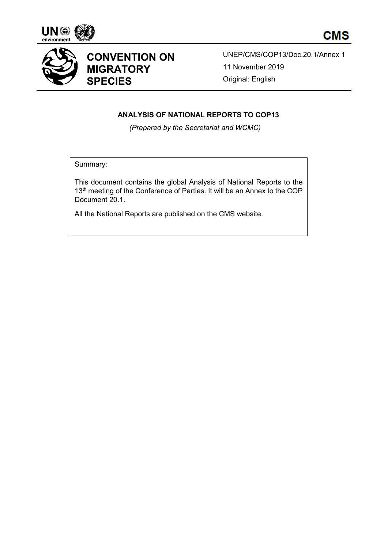





# **CONVENTION ON MIGRATORY SPECIES**

UNEP/CMS/COP13/Doc.20.1/Annex 1 11 November 2019 Original: English

## **ANALYSIS OF NATIONAL REPORTS TO COP13**

*(Prepared by the Secretariat and WCMC)*

Summary:

This document contains the global Analysis of National Reports to the 13<sup>th</sup> meeting of the Conference of Parties. It will be an Annex to the COP Document 20.1.

All the National Reports are published on the CMS website.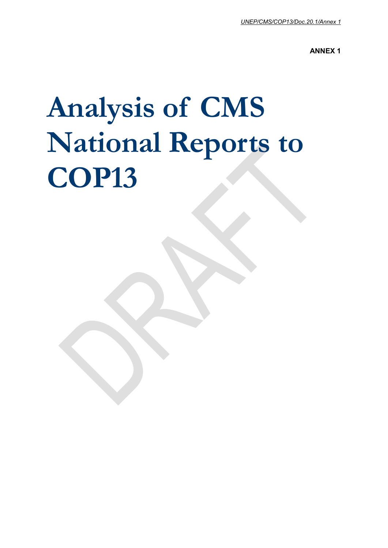**ANNEX 1**

# **Analysis of CMS National Reports to COP13**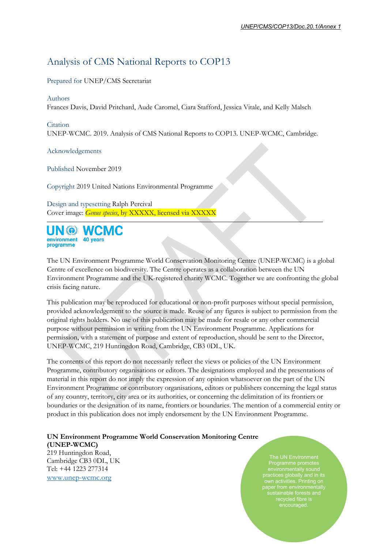# Analysis of CMS National Reports to COP13

Prepared for UNEP/CMS Secretariat

#### Authors

Frances Davis, David Pritchard, Aude Caromel, Ciara Stafford, Jessica Vitale, and Kelly Malsch

#### Citation

UNEP-WCMC. 2019. Analysis of CMS National Reports to COP13. UNEP-WCMC, Cambridge.

Acknowledgements

Published November 2019

Copyright 2019 United Nations Environmental Programme

Design and typesetting Ralph Percival Cover image: *Genus species*, by XXXXX, licensed via XXXXX



The UN Environment Programme World Conservation Monitoring Centre (UNEP-WCMC) is a global Centre of excellence on biodiversity. The Centre operates as a collaboration between the UN Environment Programme and the UK-registered charity WCMC. Together we are confronting the global crisis facing nature.

This publication may be reproduced for educational or non-profit purposes without special permission, provided acknowledgement to the source is made. Reuse of any figures is subject to permission from the original rights holders. No use of this publication may be made for resale or any other commercial purpose without permission in writing from the UN Environment Programme. Applications for permission, with a statement of purpose and extent of reproduction, should be sent to the Director, UNEP-WCMC, 219 Huntingdon Road, Cambridge, CB3 0DL, UK.

The contents of this report do not necessarily reflect the views or policies of the UN Environment Programme, contributory organisations or editors. The designations employed and the presentations of material in this report do not imply the expression of any opinion whatsoever on the part of the UN Environment Programme or contributory organisations, editors or publishers concerning the legal status of any country, territory, city area or its authorities, or concerning the delimitation of its frontiers or boundaries or the designation of its name, frontiers or boundaries. The mention of a commercial entity or product in this publication does not imply endorsement by the UN Environment Programme.

#### **UN Environment Programme World Conservation Monitoring Centre (UNEP-WCMC)**

219 Huntingdon Road, Cambridge CB3 0DL, UK Tel: +44 1223 277314 [www.unep-wcmc.org](http://www.unep-wcmc.org/)

The UN Environment Programme promotes environmentally sound practices globally and in its own activities. Printing on paper from environmentally sustainable forests and recycled fibre is encouraged.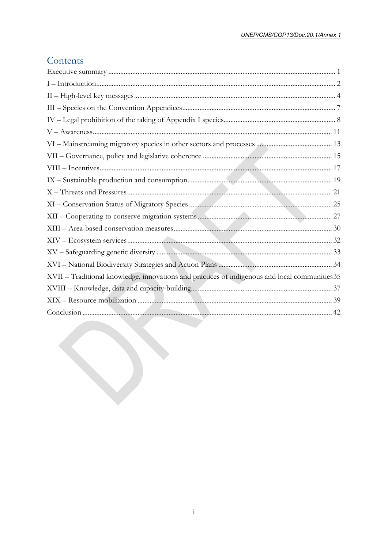## Contents

| XVII - Traditional knowledge, innovations and practices of indigenous and local communities 35 |
|------------------------------------------------------------------------------------------------|
|                                                                                                |
|                                                                                                |
|                                                                                                |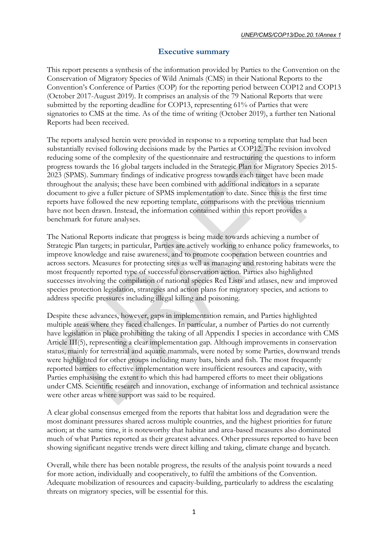## **Executive summary**

<span id="page-5-0"></span>This report presents a synthesis of the information provided by Parties to the Convention on the Conservation of Migratory Species of Wild Animals (CMS) in their National Reports to the Convention's Conference of Parties (COP) for the reporting period between COP12 and COP13 (October 2017-August 2019). It comprises an analysis of the 79 National Reports that were submitted by the reporting deadline for COP13, representing 61% of Parties that were signatories to CMS at the time. As of the time of writing (October 2019), a further ten National Reports had been received.

The reports analysed herein were provided in response to a reporting template that had been substantially revised following decisions made by the Parties at COP12. The revision involved reducing some of the complexity of the questionnaire and restructuring the questions to inform progress towards the 16 global targets included in the Strategic Plan for Migratory Species 2015- 2023 (SPMS). Summary findings of indicative progress towards each target have been made throughout the analysis; these have been combined with additional indicators in a separate document to give a fuller picture of SPMS implementation to date. Since this is the first time reports have followed the new reporting template, comparisons with the previous triennium have not been drawn. Instead, the information contained within this report provides a benchmark for future analyses.

The National Reports indicate that progress is being made towards achieving a number of Strategic Plan targets; in particular, Parties are actively working to enhance policy frameworks, to improve knowledge and raise awareness, and to promote cooperation between countries and across sectors. Measures for protecting sites as well as managing and restoring habitats were the most frequently reported type of successful conservation action. Parties also highlighted successes involving the compilation of national species Red Lists and atlases, new and improved species protection legislation, strategies and action plans for migratory species, and actions to address specific pressures including illegal killing and poisoning.

Despite these advances, however, gaps in implementation remain, and Parties highlighted multiple areas where they faced challenges. In particular, a number of Parties do not currently have legislation in place prohibiting the taking of all Appendix I species in accordance with CMS Article III(5), representing a clear implementation gap. Although improvements in conservation status, mainly for terrestrial and aquatic mammals, were noted by some Parties, downward trends were highlighted for other groups including many bats, birds and fish. The most frequently reported barriers to effective implementation were insufficient resources and capacity, with Parties emphasising the extent to which this had hampered efforts to meet their obligations under CMS. Scientific research and innovation, exchange of information and technical assistance were other areas where support was said to be required.

A clear global consensus emerged from the reports that habitat loss and degradation were the most dominant pressures shared across multiple countries, and the highest priorities for future action; at the same time, it is noteworthy that habitat and area-based measures also dominated much of what Parties reported as their greatest advances. Other pressures reported to have been showing significant negative trends were direct killing and taking, climate change and bycatch.

Overall, while there has been notable progress, the results of the analysis point towards a need for more action, individually and cooperatively, to fulfil the ambitions of the Convention. Adequate mobilization of resources and capacity-building, particularly to address the escalating threats on migratory species, will be essential for this.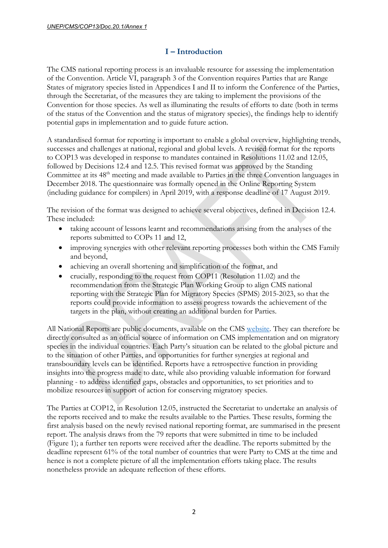## **I – Introduction**

<span id="page-6-0"></span>The CMS national reporting process is an invaluable resource for assessing the implementation of the Convention. Article VI, paragraph 3 of the Convention requires Parties that are Range States of migratory species listed in Appendices I and II to inform the Conference of the Parties, through the Secretariat, of the measures they are taking to implement the provisions of the Convention for those species. As well as illuminating the results of efforts to date (both in terms of the status of the Convention and the status of migratory species), the findings help to identify potential gaps in implementation and to guide future action.

A standardised format for reporting is important to enable a global overview, highlighting trends, successes and challenges at national, regional and global levels. A revised format for the reports to COP13 was developed in response to mandates contained in Resolutions 11.02 and 12.05, followed by Decisions 12.4 and 12.5. This revised format was approved by the Standing Committee at its 48<sup>th</sup> meeting and made available to Parties in the three Convention languages in December 2018. The questionnaire was formally opened in the Online Reporting System (including guidance for compilers) in April 2019, with a response deadline of 17 August 2019.

The revision of the format was designed to achieve several objectives, defined in Decision 12.4. These included:

- taking account of lessons learnt and recommendations arising from the analyses of the reports submitted to COPs 11 and 12,
- improving synergies with other relevant reporting processes both within the CMS Family and beyond,
- achieving an overall shortening and simplification of the format, and
- crucially, responding to the request from COP11 (Resolution 11.02) and the recommendation from the Strategic Plan Working Group to align CMS national reporting with the Strategic Plan for Migratory Species (SPMS) 2015-2023, so that the reports could provide information to assess progress towards the achievement of the targets in the plan, without creating an additional burden for Parties.

All National Reports are public documents, available on the CMS [website.](https://www.cms.int/en/documents/national-reports) They can therefore be directly consulted as an official source of information on CMS implementation and on migratory species in the individual countries. Each Party's situation can be related to the global picture and to the situation of other Parties, and opportunities for further synergies at regional and transboundary levels can be identified. Reports have a retrospective function in providing insights into the progress made to date, while also providing valuable information for forward planning - to address identified gaps, obstacles and opportunities, to set priorities and to mobilize resources in support of action for conserving migratory species.

The Parties at COP12, in Resolution 12.05, instructed the Secretariat to undertake an analysis of the reports received and to make the results available to the Parties. These results, forming the first analysis based on the newly revised national reporting format, are summarised in the present report. The analysis draws from the 79 reports that were submitted in time to be included (Figure 1); a further ten reports were received after the deadline. The reports submitted by the deadline represent 61% of the total number of countries that were Party to CMS at the time and hence is not a complete picture of all the implementation efforts taking place. The results nonetheless provide an adequate reflection of these efforts.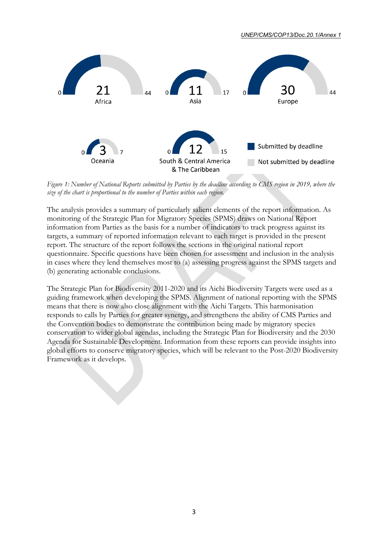

*UNEP/CMS/COP13/Doc.20.1/Annex 1*

*Figure 1: Number of National Reports submitted by Parties by the deadline according to CMS region in 2019, where the size of the chart is proportional to the number of Parties within each region.*

The analysis provides a summary of particularly salient elements of the report information. As monitoring of the Strategic Plan for Migratory Species (SPMS) draws on National Report information from Parties as the basis for a number of indicators to track progress against its targets, a summary of reported information relevant to each target is provided in the present report. The structure of the report follows the sections in the original national report questionnaire. Specific questions have been chosen for assessment and inclusion in the analysis in cases where they lend themselves most to (a) assessing progress against the SPMS targets and (b) generating actionable conclusions.

The Strategic Plan for Biodiversity 2011-2020 and its Aichi Biodiversity Targets were used as a guiding framework when developing the SPMS. Alignment of national reporting with the SPMS means that there is now also close alignment with the Aichi Targets. This harmonisation responds to calls by Parties for greater synergy, and strengthens the ability of CMS Parties and the Convention bodies to demonstrate the contribution being made by migratory species conservation to wider global agendas, including the Strategic Plan for Biodiversity and the 2030 Agenda for Sustainable Development. Information from these reports can provide insights into global efforts to conserve migratory species, which will be relevant to the Post-2020 Biodiversity Framework as it develops.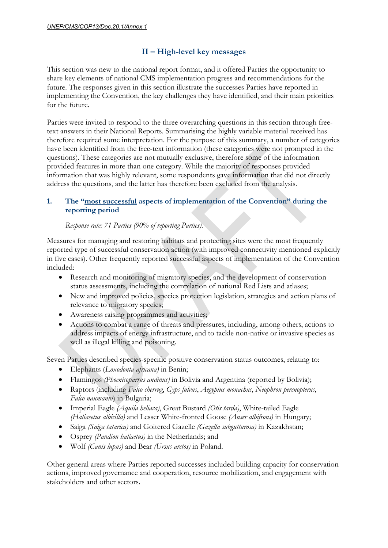## **II – High-level key messages**

<span id="page-8-0"></span>This section was new to the national report format, and it offered Parties the opportunity to share key elements of national CMS implementation progress and recommendations for the future. The responses given in this section illustrate the successes Parties have reported in implementing the Convention, the key challenges they have identified, and their main priorities for the future.

Parties were invited to respond to the three overarching questions in this section through freetext answers in their National Reports. Summarising the highly variable material received has therefore required some interpretation. For the purpose of this summary, a number of categories have been identified from the free-text information (these categories were not prompted in the questions). These categories are not mutually exclusive, therefore some of the information provided features in more than one category. While the majority of responses provided information that was highly relevant, some respondents gave information that did not directly address the questions, and the latter has therefore been excluded from the analysis.

## **1. The "most successful aspects of implementation of the Convention" during the reporting period**

## *Response rate: 71 Parties (90% of reporting Parties).*

Measures for managing and restoring habitats and protecting sites were the most frequently reported type of successful conservation action (with improved connectivity mentioned explicitly in five cases). Other frequently reported successful aspects of implementation of the Convention included:

- Research and monitoring of migratory species, and the development of conservation status assessments, including the compilation of national Red Lists and atlases;
- New and improved policies, species protection legislation, strategies and action plans of relevance to migratory species;
- Awareness raising programmes and activities;
- Actions to combat a range of threats and pressures, including, among others, actions to address impacts of energy infrastructure, and to tackle non-native or invasive species as well as illegal killing and poisoning.

Seven Parties described species-specific positive conservation status outcomes, relating to:

- Elephants (*Loxodonta africana)* in Benin;
- Flamingos *(Phoenicoparrus andinus)* in Bolivia and Argentina (reported by Bolivia);
- Raptors (including *Falco cherrug*, *Gyps fulvus*, *Aegypius monachus*, *Neophron percnopterus*, *Falco naumanni*) in Bulgaria;
- Imperial Eagle *(Aquila heliaca)*, Great Bustard *(Otis tarda)*, White-tailed Eagle *(Haliaeetus albicilla)* and Lesser White-fronted Goose *(Anser albifrons)* in Hungary;
- Saiga *(Saiga tatarica)* and Goitered Gazelle *(Gazella subgutturosa)* in Kazakhstan;
- Osprey *(Pandion haliaetus)* in the Netherlands; and
- Wolf *(Canis lupus)* and Bear *(Ursus arctos)* in Poland.

Other general areas where Parties reported successes included building capacity for conservation actions, improved governance and cooperation, resource mobilization, and engagement with stakeholders and other sectors.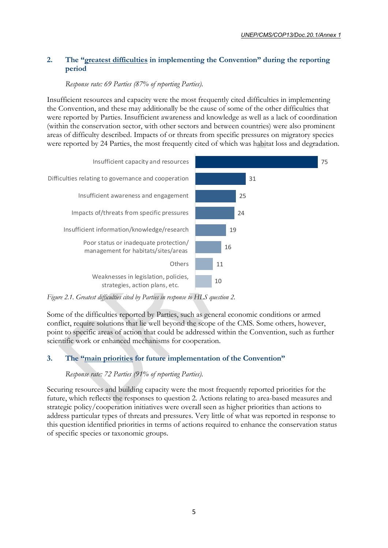## **2. The "greatest difficulties in implementing the Convention" during the reporting period**

*Response rate: 69 Parties (87% of reporting Parties).*

Insufficient resources and capacity were the most frequently cited difficulties in implementing the Convention, and these may additionally be the cause of some of the other difficulties that were reported by Parties. Insufficient awareness and knowledge as well as a lack of coordination (within the conservation sector, with other sectors and between countries) were also prominent areas of difficulty described. Impacts of or threats from specific pressures on migratory species were reported by 24 Parties, the most frequently cited of which was habitat loss and degradation.



*Figure 2.1. Greatest difficulties cited by Parties in response to HLS question 2.*

Some of the difficulties reported by Parties, such as general economic conditions or armed conflict, require solutions that lie well beyond the scope of the CMS. Some others, however, point to specific areas of action that could be addressed within the Convention, such as further scientific work or enhanced mechanisms for cooperation.

## **3. The "main priorities for future implementation of the Convention"**

#### *Response rate: 72 Parties (91% of reporting Parties).*

Securing resources and building capacity were the most frequently reported priorities for the future, which reflects the responses to question 2. Actions relating to area-based measures and strategic policy/cooperation initiatives were overall seen as higher priorities than actions to address particular types of threats and pressures. Very little of what was reported in response to this question identified priorities in terms of actions required to enhance the conservation status of specific species or taxonomic groups.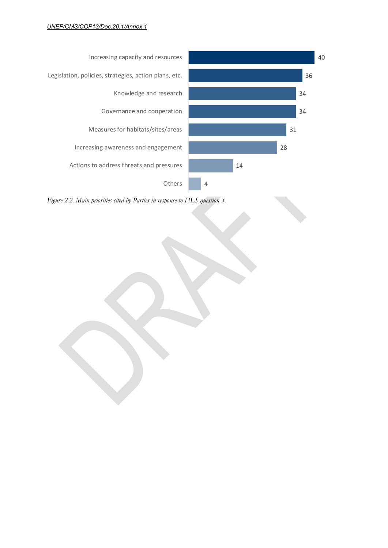

*Figure 2.2. Main priorities cited by Parties in response to HLS question 3.*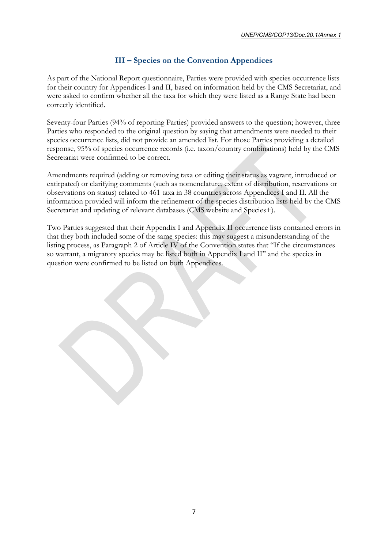## **III – Species on the Convention Appendices**

<span id="page-11-0"></span>As part of the National Report questionnaire, Parties were provided with species occurrence lists for their country for Appendices I and II, based on information held by the CMS Secretariat, and were asked to confirm whether all the taxa for which they were listed as a Range State had been correctly identified.

Seventy-four Parties (94% of reporting Parties) provided answers to the question; however, three Parties who responded to the original question by saying that amendments were needed to their species occurrence lists, did not provide an amended list. For those Parties providing a detailed response, 95% of species occurrence records (i.e. taxon/country combinations) held by the CMS Secretariat were confirmed to be correct.

Amendments required (adding or removing taxa or editing their status as vagrant, introduced or extirpated) or clarifying comments (such as nomenclature, extent of distribution, reservations or observations on status) related to 461 taxa in 38 countries across Appendices I and II. All the information provided will inform the refinement of the species distribution lists held by the CMS Secretariat and updating of relevant databases (CMS website and Species+).

Two Parties suggested that their Appendix I and Appendix II occurrence lists contained errors in that they both included some of the same species: this may suggest a misunderstanding of the listing process, as Paragraph 2 of Article IV of the Convention states that "If the circumstances so warrant, a migratory species may be listed both in Appendix I and II" and the species in question were confirmed to be listed on both Appendices.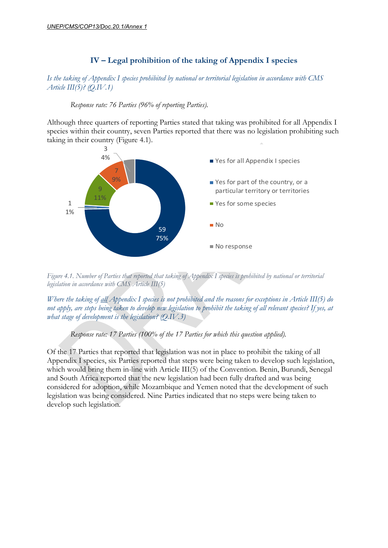## **IV – Legal prohibition of the taking of Appendix I species**

## <span id="page-12-0"></span>*Is the taking of Appendix I species prohibited by national or territorial legislation in accordance with CMS Article III(5)? (Q.IV.1)*

#### *Response rate: 76 Parties (96% of reporting Parties).*

Although three quarters of reporting Parties stated that taking was prohibited for all Appendix I species within their country, seven Parties reported that there was no legislation prohibiting such taking in their country (Figure 4.1).



*Figure 4.1. Number of Parties that reported that taking of Appendix I species is prohibited by national or territorial legislation in accordance with CMS Article III(5)*

*Where the taking of all Appendix I species is not prohibited and the reasons for exceptions in Article III(5) do not apply, are steps being taken to develop new legislation to prohibit the taking of all relevant species? If yes, at what stage of development is the legislation? (Q.IV.3)*

#### *Response rate: 17 Parties (100% of the 17 Parties for which this question applied).*

Of the 17 Parties that reported that legislation was not in place to prohibit the taking of all Appendix I species, six Parties reported that steps were being taken to develop such legislation, which would bring them in-line with Article III(5) of the Convention. Benin, Burundi, Senegal and South Africa reported that the new legislation had been fully drafted and was being considered for adoption, while Mozambique and Yemen noted that the development of such legislation was being considered. Nine Parties indicated that no steps were being taken to develop such legislation.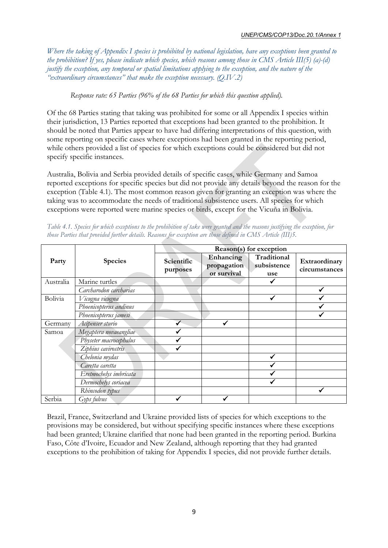*Where the taking of Appendix I species is prohibited by national legislation, have any exceptions been granted to the prohibition? If yes, please indicate which species, which reasons among those in CMS Article III(5) (a)-(d) justify the exception, any temporal or spatial limitations applying to the exception, and the nature of the "extraordinary circumstances" that make the exception necessary. (Q.IV.2)*

*Response rate: 65 Parties (96% of the 68 Parties for which this question applied).*

Of the 68 Parties stating that taking was prohibited for some or all Appendix I species within their jurisdiction, 13 Parties reported that exceptions had been granted to the prohibition. It should be noted that Parties appear to have had differing interpretations of this question, with some reporting on specific cases where exceptions had been granted in the reporting period, while others provided a list of species for which exceptions could be considered but did not specify specific instances.

Australia, Bolivia and Serbia provided details of specific cases, while Germany and Samoa reported exceptions for specific species but did not provide any details beyond the reason for the exception (Table 4.1). The most common reason given for granting an exception was where the taking was to accommodate the needs of traditional subsistence users. All species for which exceptions were reported were marine species or birds, except for the Vicuña in Bolivia.

|           | <b>Species</b>         | Reason(s) for exception |                                         |                                   |                                |  |
|-----------|------------------------|-------------------------|-----------------------------------------|-----------------------------------|--------------------------------|--|
| Party     |                        | Scientific<br>purposes  | Enhancing<br>propagation<br>or survival | Traditional<br>subsistence<br>use | Extraordinary<br>circumstances |  |
| Australia | Marine turtles         |                         |                                         |                                   |                                |  |
|           | Carcharodon carcharias |                         |                                         |                                   |                                |  |
| Bolivia   | Vicugna vicugna        |                         |                                         |                                   |                                |  |
|           | Phoenicopterus andinus |                         |                                         |                                   |                                |  |
|           | Phoenicopterus jamesi  |                         |                                         |                                   |                                |  |
| Germany   | Acipenser sturio       |                         |                                         |                                   |                                |  |
| Samoa     | Megaptera novaeangliae |                         |                                         |                                   |                                |  |
|           | Physeter macrocephalus |                         |                                         |                                   |                                |  |
|           | Ziphius cavirostris    |                         |                                         |                                   |                                |  |
|           | Chelonia mydas         |                         |                                         | ✔                                 |                                |  |
|           | Caretta caretta        |                         |                                         |                                   |                                |  |
|           | Eretmochelys imbricata |                         |                                         |                                   |                                |  |
|           | Dermochelys coriacea   |                         |                                         |                                   |                                |  |
|           | Rhincodon typus        |                         |                                         |                                   |                                |  |
| Serbia    | Gyps fulvus            |                         |                                         |                                   |                                |  |

*Table 4.1. Species for which exceptions to the prohibition of take were granted and the reasons justifying the exception, for those Parties that provided further details. Reasons for exception are those defined in CMS Article (III)5.*

Brazil, France, Switzerland and Ukraine provided lists of species for which exceptions to the provisions may be considered, but without specifying specific instances where these exceptions had been granted; Ukraine clarified that none had been granted in the reporting period. Burkina Faso, Côte d'Ivoire, Ecuador and New Zealand, although reporting that they had granted exceptions to the prohibition of taking for Appendix I species, did not provide further details.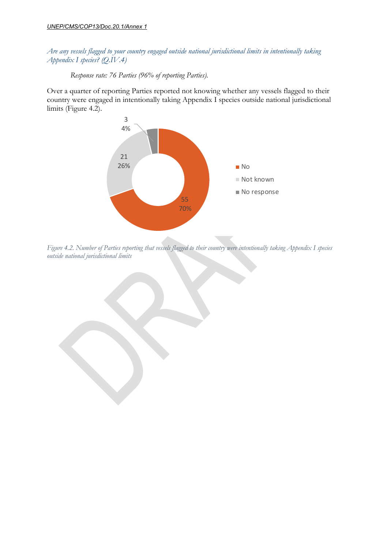*Are any vessels flagged to your country engaged outside national jurisdictional limits in intentionally taking Appendix I species? (Q.IV.4)*

*Response rate: 76 Parties (96% of reporting Parties).*

Over a quarter of reporting Parties reported not knowing whether any vessels flagged to their country were engaged in intentionally taking Appendix I species outside national jurisdictional limits (Figure 4.2).



*Figure 4.2. Number of Parties reporting that vessels flagged to their country were intentionally taking Appendix I species outside national jurisdictional limits*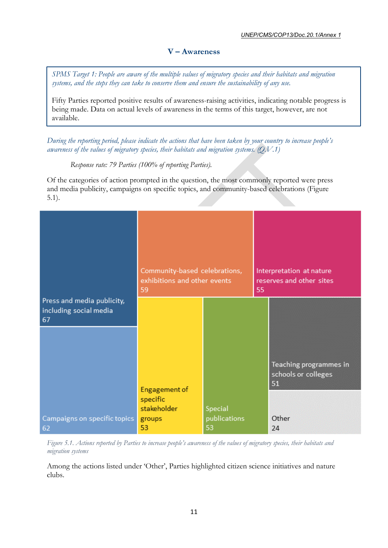## **V – Awareness**

<span id="page-15-0"></span>*SPMS Target 1: People are aware of the multiple values of migratory species and their habitats and migration systems, and the steps they can take to conserve them and ensure the sustainability of any use.*

Fifty Parties reported positive results of awareness-raising activities, indicating notable progress is being made. Data on actual levels of awareness in the terms of this target, however, are not available.

*During the reporting period, please indicate the actions that have been taken by your country to increase people's awareness of the values of migratory species, their habitats and migration systems. (Q.V.1)*

*Response rate: 79 Parties (100% of reporting Parties).*

Of the categories of action prompted in the question, the most commonly reported were press and media publicity, campaigns on specific topics, and community-based celebrations (Figure 5.1).

|                                                            | Community-based celebrations,<br>exhibitions and other events<br>59 |                               | 55 | Interpretation at nature<br>reserves and other sites |
|------------------------------------------------------------|---------------------------------------------------------------------|-------------------------------|----|------------------------------------------------------|
| Press and media publicity,<br>including social media<br>67 |                                                                     |                               |    |                                                      |
|                                                            | Engagement of<br>specific                                           |                               |    | Teaching programmes in<br>schools or colleges<br>51  |
| Campaigns on specific topics<br>62                         | stakeholder<br>groups<br>53                                         | Special<br>publications<br>53 |    | Other<br>24                                          |

*Figure 5.1. Actions reported by Parties to increase people's awareness of the values of migratory species, their habitats and migration systems*

Among the actions listed under 'Other', Parties highlighted citizen science initiatives and nature clubs.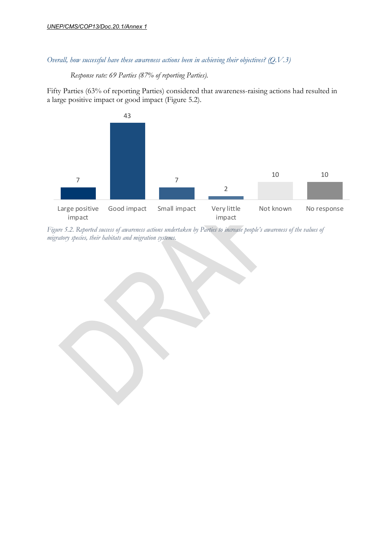*Overall, how successful have these awareness actions been in achieving their objectives? (Q.V.3)*

*Response rate: 69 Parties (87% of reporting Parties).*

Fifty Parties (63% of reporting Parties) considered that awareness-raising actions had resulted in a large positive impact or good impact (Figure 5.2).



*Figure 5.2. Reported success of awareness actions undertaken by Parties to increase people's awareness of the values of migratory species, their habitats and migration systems.*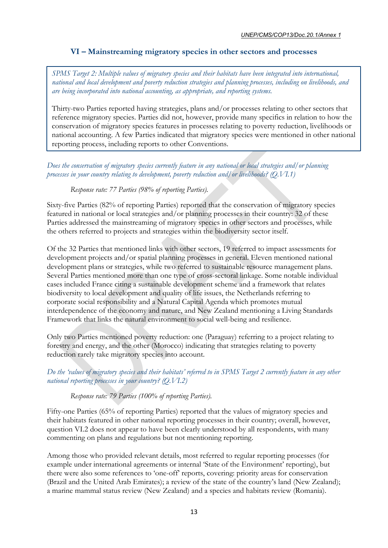## **VI – Mainstreaming migratory species in other sectors and processes**

<span id="page-17-0"></span>*SPMS Target 2: Multiple values of migratory species and their habitats have been integrated into international, national and local development and poverty reduction strategies and planning processes, including on livelihoods, and are being incorporated into national accounting, as appropriate, and reporting systems.*

Thirty-two Parties reported having strategies, plans and/or processes relating to other sectors that reference migratory species. Parties did not, however, provide many specifics in relation to how the conservation of migratory species features in processes relating to poverty reduction, livelihoods or national accounting. A few Parties indicated that migratory species were mentioned in other national reporting process, including reports to other Conventions.

*Does the conservation of migratory species currently feature in any national or local strategies and/or planning processes in your country relating to development, poverty reduction and/or livelihoods? (Q.VI.1)*

#### *Response rate: 77 Parties (98% of reporting Parties).*

Sixty-five Parties (82% of reporting Parties) reported that the conservation of migratory species featured in national or local strategies and/or planning processes in their country: 32 of these Parties addressed the mainstreaming of migratory species in other sectors and processes, while the others referred to projects and strategies within the biodiversity sector itself.

Of the 32 Parties that mentioned links with other sectors, 19 referred to impact assessments for development projects and/or spatial planning processes in general. Eleven mentioned national development plans or strategies, while two referred to sustainable resource management plans. Several Parties mentioned more than one type of cross-sectoral linkage. Some notable individual cases included France citing a sustainable development scheme and a framework that relates biodiversity to local development and quality of life issues, the Netherlands referring to corporate social responsibility and a Natural Capital Agenda which promotes mutual interdependence of the economy and nature, and New Zealand mentioning a Living Standards Framework that links the natural environment to social well-being and resilience.

Only two Parties mentioned poverty reduction: one (Paraguay) referring to a project relating to forestry and energy, and the other (Morocco) indicating that strategies relating to poverty reduction rarely take migratory species into account.

*Do the 'values of migratory species and their habitats' referred to in SPMS Target 2 currently feature in any other national reporting processes in your country? (Q.VI.2)*

#### *Response rate: 79 Parties (100% of reporting Parties).*

Fifty-one Parties (65% of reporting Parties) reported that the values of migratory species and their habitats featured in other national reporting processes in their country; overall, however, question VI.2 does not appear to have been clearly understood by all respondents, with many commenting on plans and regulations but not mentioning reporting.

Among those who provided relevant details, most referred to regular reporting processes (for example under international agreements or internal 'State of the Environment' reporting), but there were also some references to 'one-off' reports, covering: priority areas for conservation (Brazil and the United Arab Emirates); a review of the state of the country's land (New Zealand); a marine mammal status review (New Zealand) and a species and habitats review (Romania).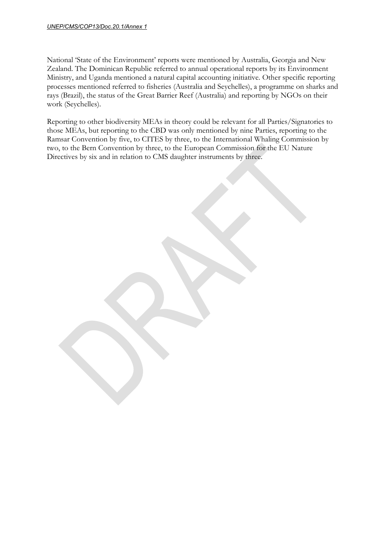#### *UNEP/CMS/COP13/Doc.20.1/Annex 1*

National 'State of the Environment' reports were mentioned by Australia, Georgia and New Zealand. The Dominican Republic referred to annual operational reports by its Environment Ministry, and Uganda mentioned a natural capital accounting initiative. Other specific reporting processes mentioned referred to fisheries (Australia and Seychelles), a programme on sharks and rays (Brazil), the status of the Great Barrier Reef (Australia) and reporting by NGOs on their work (Seychelles).

Reporting to other biodiversity MEAs in theory could be relevant for all Parties/Signatories to those MEAs, but reporting to the CBD was only mentioned by nine Parties, reporting to the Ramsar Convention by five, to CITES by three, to the International Whaling Commission by two, to the Bern Convention by three, to the European Commission for the EU Nature Directives by six and in relation to CMS daughter instruments by three.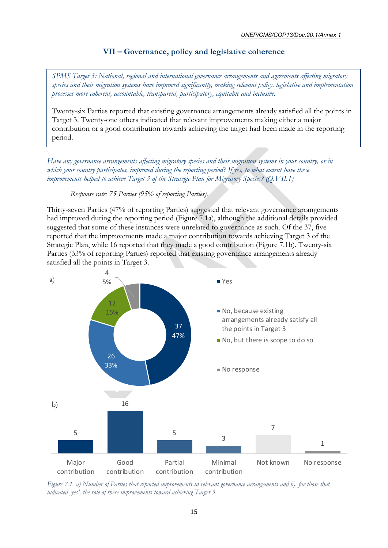## **VII – Governance, policy and legislative coherence**

<span id="page-19-0"></span>*SPMS Target 3: National, regional and international governance arrangements and agreements affecting migratory species and their migration systems have improved significantly, making relevant policy, legislative and implementation processes more coherent, accountable, transparent, participatory, equitable and inclusive.*

Twenty-six Parties reported that existing governance arrangements already satisfied all the points in Target 3. Twenty-one others indicated that relevant improvements making either a major contribution or a good contribution towards achieving the target had been made in the reporting period.

*Have any governance arrangements affecting migratory species and their migration systems in your country, or in which your country participates, improved during the reporting period? If yes, to what extent have these improvements helped to achieve Target 3 of the Strategic Plan for Migratory Species? (Q.VII.1)*

*Response rate: 75 Parties (95% of reporting Parties).*

Thirty-seven Parties (47% of reporting Parties) suggested that relevant governance arrangements had improved during the reporting period (Figure 7.1a), although the additional details provided suggested that some of these instances were unrelated to governance as such. Of the 37, five reported that the improvements made a major contribution towards achieving Target 3 of the Strategic Plan, while 16 reported that they made a good contribution (Figure 7.1b). Twenty-six Parties (33% of reporting Parties) reported that existing governance arrangements already satisfied all the points in Target 3.



*Figure 7.1. a) Number of Parties that reported improvements in relevant governance arrangements and b), for those that indicated 'yes', the role of these improvements toward achieving Target 3.*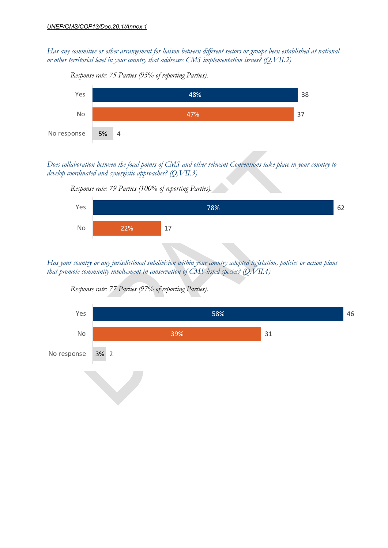*Has any committee or other arrangement for liaison between different sectors or groups been established at national or other territorial level in your country that addresses CMS implementation issues? (Q.VII.2)*



*Response rate: 75 Parties (95% of reporting Parties).*

*Does collaboration between the focal points of CMS and other relevant Conventions take place in your country to develop coordinated and synergistic approaches? (Q.VII.3)*



*Has your country or any jurisdictional subdivision within your country adopted legislation, policies or action plans that promote community involvement in conservation of CMS-listed species? (Q.VII.4)*



*Response rate: 77 Parties (97% of reporting Parties).*

*Response rate: 79 Parties (100% of reporting Parties).*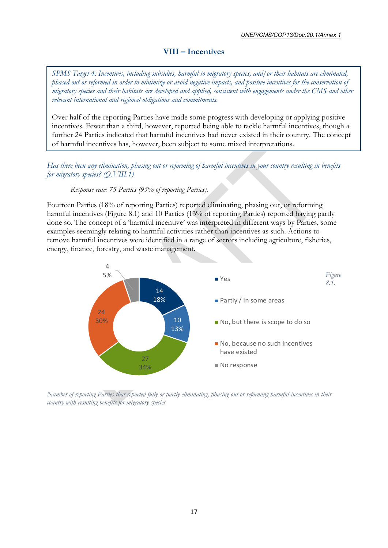## **VIII – Incentives**

<span id="page-21-0"></span>*SPMS Target 4: Incentives, including subsidies, harmful to migratory species, and/or their habitats are eliminated, phased out or reformed in order to minimize or avoid negative impacts, and positive incentives for the conservation of migratory species and their habitats are developed and applied, consistent with engagements under the CMS and other relevant international and regional obligations and commitments.*

Over half of the reporting Parties have made some progress with developing or applying positive incentives. Fewer than a third, however, reported being able to tackle harmful incentives, though a further 24 Parties indicated that harmful incentives had never existed in their country. The concept of harmful incentives has, however, been subject to some mixed interpretations.

*Has there been any elimination, phasing out or reforming of harmful incentives in your country resulting in benefits for migratory species? (Q.VIII.1)*

#### *Response rate: 75 Parties (95% of reporting Parties).*

Fourteen Parties (18% of reporting Parties) reported eliminating, phasing out, or reforming harmful incentives (Figure 8.1) and 10 Parties (13% of reporting Parties) reported having partly done so. The concept of a 'harmful incentive' was interpreted in different ways by Parties, some examples seemingly relating to harmful activities rather than incentives as such. Actions to remove harmful incentives were identified in a range of sectors including agriculture, fisheries, energy, finance, forestry, and waste management.



*Number of reporting Parties that reported fully or partly eliminating, phasing out or reforming harmful incentives in their country with resulting benefits for migratory species*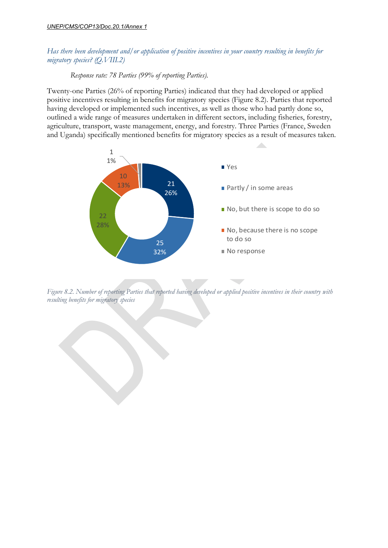#### *Has there been development and/or application of positive incentives in your country resulting in benefits for migratory species? (Q.VIII.2)*

*Response rate: 78 Parties (99% of reporting Parties).*

Twenty-one Parties (26% of reporting Parties) indicated that they had developed or applied positive incentives resulting in benefits for migratory species (Figure 8.2). Parties that reported having developed or implemented such incentives, as well as those who had partly done so, outlined a wide range of measures undertaken in different sectors, including fisheries, forestry, agriculture, transport, waste management, energy, and forestry. Three Parties (France, Sweden and Uganda) specifically mentioned benefits for migratory species as a result of measures taken.



*Figure 8.2. Number of reporting Parties that reported having developed or applied positive incentives in their country with resulting benefits for migratory species*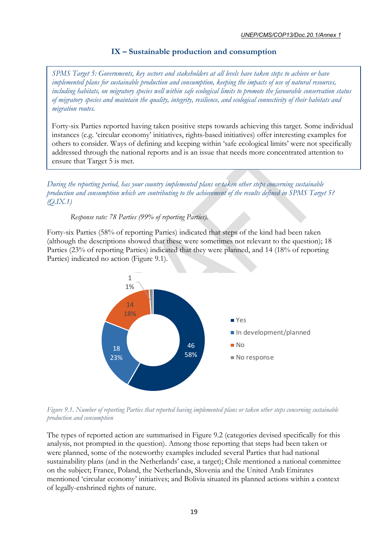## **IX – Sustainable production and consumption**

<span id="page-23-0"></span>*SPMS Target 5: Governments, key sectors and stakeholders at all levels have taken steps to achieve or have implemented plans for sustainable production and consumption, keeping the impacts of use of natural resources, including habitats, on migratory species well within safe ecological limits to promote the favourable conservation status of migratory species and maintain the quality, integrity, resilience, and ecological connectivity of their habitats and migration routes.*

Forty-six Parties reported having taken positive steps towards achieving this target. Some individual instances (e.g. 'circular economy' initiatives, rights-based initiatives) offer interesting examples for others to consider. Ways of defining and keeping within 'safe ecological limits' were not specifically addressed through the national reports and is an issue that needs more concentrated attention to ensure that Target 5 is met.

*During the reporting period, has your country implemented plans or taken other steps concerning sustainable production and consumption which are contributing to the achievement of the results defined in SPMS Target 5? (Q.IX.1)*

*Response rate: 78 Parties (99% of reporting Parties).*

Forty-six Parties (58% of reporting Parties) indicated that steps of the kind had been taken (although the descriptions showed that these were sometimes not relevant to the question); 18 Parties (23% of reporting Parties) indicated that they were planned, and 14 (18% of reporting Parties) indicated no action (Figure 9.1).



*Figure 9.1. Number of reporting Parties that reported having implemented plans or taken other steps concerning sustainable production and consumption* 

The types of reported action are summarised in Figure 9.2 (categories devised specifically for this analysis, not prompted in the question). Among those reporting that steps had been taken or were planned, some of the noteworthy examples included several Parties that had national sustainability plans (and in the Netherlands' case, a target); Chile mentioned a national committee on the subject; France, Poland, the Netherlands, Slovenia and the United Arab Emirates mentioned 'circular economy' initiatives; and Bolivia situated its planned actions within a context of legally-enshrined rights of nature.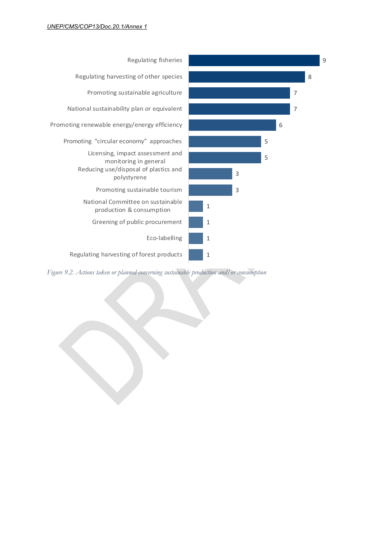

*Figure 9.2. Actions taken or planned concerning sustainable production and/or consumption*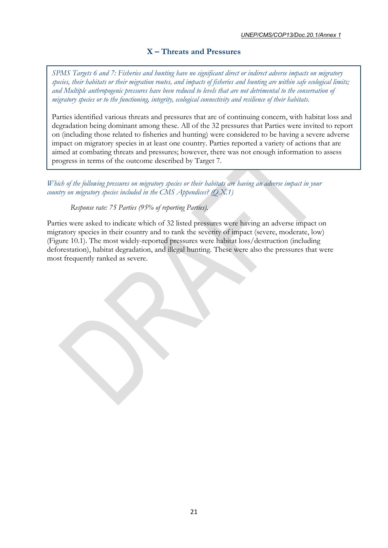## **X – Threats and Pressures**

<span id="page-25-0"></span>*SPMS Targets 6 and 7: Fisheries and hunting have no significant direct or indirect adverse impacts on migratory species, their habitats or their migration routes, and impacts of fisheries and hunting are within safe ecological limits; and Multiple anthropogenic pressures have been reduced to levels that are not detrimental to the conservation of migratory species or to the functioning, integrity, ecological connectivity and resilience of their habitats.*

Parties identified various threats and pressures that are of continuing concern, with habitat loss and degradation being dominant among these. All of the 32 pressures that Parties were invited to report on (including those related to fisheries and hunting) were considered to be having a severe adverse impact on migratory species in at least one country. Parties reported a variety of actions that are aimed at combating threats and pressures; however, there was not enough information to assess progress in terms of the outcome described by Target 7.

*Which of the following pressures on migratory species or their habitats are having an adverse impact in your country on migratory species included in the CMS Appendices? (Q.X.1)*

*Response rate: 75 Parties (95% of reporting Parties).*

Parties were asked to indicate which of 32 listed pressures were having an adverse impact on migratory species in their country and to rank the severity of impact (severe, moderate, low) (Figure 10.1). The most widely-reported pressures were habitat loss/destruction (including deforestation), habitat degradation, and illegal hunting. These were also the pressures that were most frequently ranked as severe.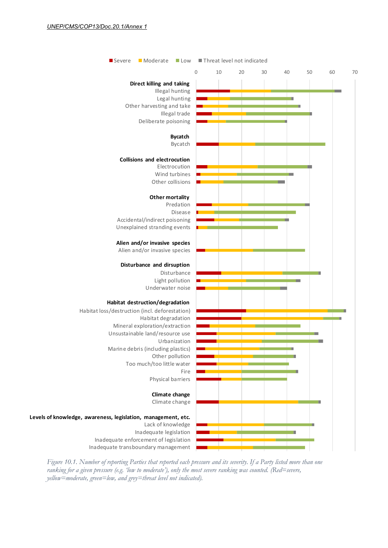

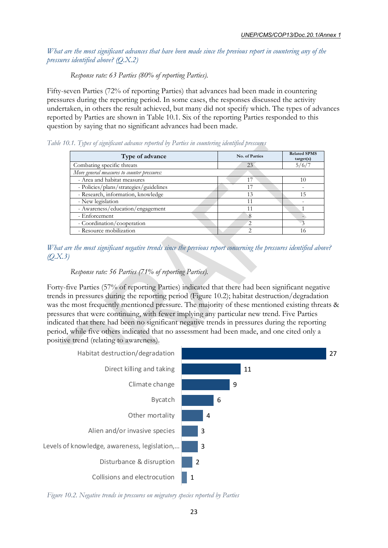*What are the most significant advances that have been made since the previous report in countering any of the pressures identified above? (Q.X.2)*

#### *Response rate: 63 Parties (80% of reporting Parties).*

Fifty-seven Parties (72% of reporting Parties) that advances had been made in countering pressures during the reporting period. In some cases, the responses discussed the activity undertaken, in others the result achieved, but many did not specify which. The types of advances reported by Parties are shown in Table 10.1. Six of the reporting Parties responded to this question by saying that no significant advances had been made.

*Table 10.1. Types of significant advance reported by Parties in countering identified pressures*

| Type of advance                             | No. of Parties | <b>Related SPMS</b><br>target(s) |
|---------------------------------------------|----------------|----------------------------------|
| Combating specific threats                  | 23             | 5/6/7                            |
| More general measures to counter pressures: |                |                                  |
| - Area and habitat measures                 |                | 10                               |
| - Policies/plans/strategies/guidelines      | 17             |                                  |
| - Research, information, knowledge          | 13             | 15                               |
| - New legislation                           | 11             |                                  |
| - Awareness/education/engagement            |                |                                  |
| - Enforcement                               |                |                                  |
| - Coordination/cooperation                  |                |                                  |
| - Resource mobilization                     |                | 16                               |

*What are the most significant negative trends since the previous report concerning the pressures identified above? (Q.X.3)*

#### *Response rate: 56 Parties (71% of reporting Parties).*

Forty-five Parties (57% of reporting Parties) indicated that there had been significant negative trends in pressures during the reporting period (Figure 10.2); habitat destruction/degradation was the most frequently mentioned pressure. The majority of these mentioned existing threats & pressures that were continuing, with fewer implying any particular new trend. Five Parties indicated that there had been no significant negative trends in pressures during the reporting period, while five others indicated that no assessment had been made, and one cited only a positive trend (relating to awareness).



*Figure 10.2. Negative trends in pressures on migratory species reported by Parties*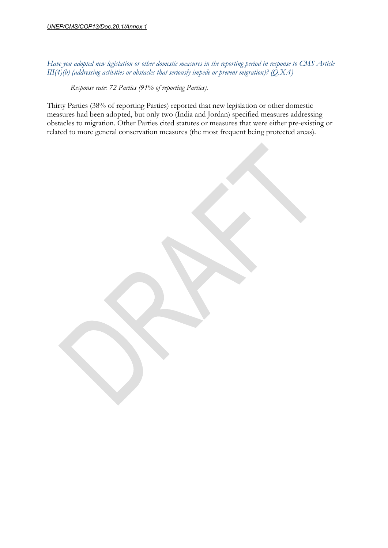*Have you adopted new legislation or other domestic measures in the reporting period in response to CMS Article III(4)(b) (addressing activities or obstacles that seriously impede or prevent migration)? (Q.X.4)*

*Response rate: 72 Parties (91% of reporting Parties).*

Thirty Parties (38% of reporting Parties) reported that new legislation or other domestic measures had been adopted, but only two (India and Jordan) specified measures addressing obstacles to migration. Other Parties cited statutes or measures that were either pre-existing or related to more general conservation measures (the most frequent being protected areas).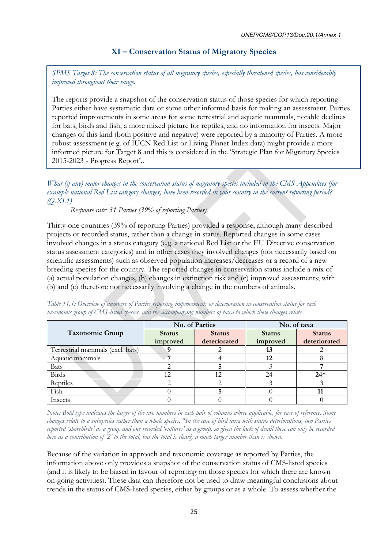## **XI – Conservation Status of Migratory Species**

<span id="page-29-0"></span>*SPMS Target 8: The conservation status of all migratory species, especially threatened species, has considerably improved throughout their range.*

The reports provide a snapshot of the conservation status of those species for which reporting Parties either have systematic data or some other informed basis for making an assessment. Parties reported improvements in some areas for some terrestrial and aquatic mammals, notable declines for bats, birds and fish, a more mixed picture for reptiles, and no information for insects. Major changes of this kind (both positive and negative) were reported by a minority of Parties. A more robust assessment (e.g. of IUCN Red List or Living Planet Index data) might provide a more informed picture for Target 8 and this is considered in the 'Strategic Plan for Migratory Species 2015-2023 - Progress Report'..

*What (if any) major changes in the conservation status of migratory species included in the CMS Appendices (for example national Red List category changes) have been recorded in your country in the current reporting period? (Q.XI.1)*

*Response rate: 31 Parties (39% of reporting Parties).*

Thirty-one countries (39% of reporting Parties) provided a response, although many described projects or recorded status, rather than a change in status. Reported changes in some cases involved changes in a status category (e.g. a national Red List or the EU Directive conservation status assessment categories) and in other cases they involved changes (not necessarily based on scientific assessments) such as observed population increases/decreases or a record of a new breeding species for the country. The reported changes in conservation status include a mix of (a) actual population changes, (b) changes in extinction risk and (c) improved assessments; with (b) and (c) therefore not necessarily involving a change in the numbers of animals.

|                                  |               | No. of Parties | No. of taxa |               |  |
|----------------------------------|---------------|----------------|-------------|---------------|--|
| <b>Taxonomic Group</b>           | <b>Status</b> | <b>Status</b>  |             | <b>Status</b> |  |
|                                  | improved      | deteriorated   | improved    | deteriorated  |  |
| Terrestrial mammals (excl. bats) |               |                | 13          |               |  |
| Aquatic mammals                  |               |                | 12          |               |  |
| <b>Bats</b>                      |               |                |             |               |  |
| <b>Birds</b>                     | 12            | 12             | 24          | $24*$         |  |
| Reptiles                         |               |                |             |               |  |
| Fish                             |               |                |             |               |  |
| Insects                          |               |                |             |               |  |

*Table 11.1: Overview of numbers of Parties reporting improvements or deterioration in conservation status for each taxonomic group of CMS-listed species, and the accompanying numbers of taxa to which these changes relate.*

*Note: Bold type indicates the larger of the two numbers in each pair of columns where applicable, for ease of reference. Some changes relate to a subspecies rather than a whole species. \*In the case of bird taxa with status deteriorations, two Parties reported 'shorebirds' as a group and one recorded 'vultures' as a group, so given the lack of detail these can only be recorded here as a contribution of '2' to the total, but the total is clearly a much larger number than is shown.*

Because of the variation in approach and taxonomic coverage as reported by Parties, the information above only provides a snapshot of the conservation status of CMS-listed species (and it is likely to be biased in favour of reporting on those species for which there are known on-going activities). These data can therefore not be used to draw meaningful conclusions about trends in the status of CMS-listed species, either by groups or as a whole. To assess whether the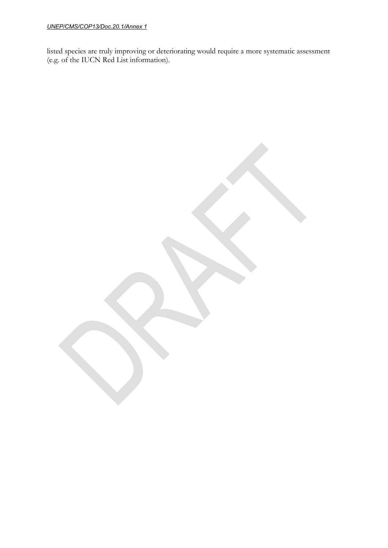#### *UNEP/CMS/COP13/Doc.20.1/Annex 1*

listed species are truly improving or deteriorating would require a more systematic assessment (e.g. of the IUCN Red List information).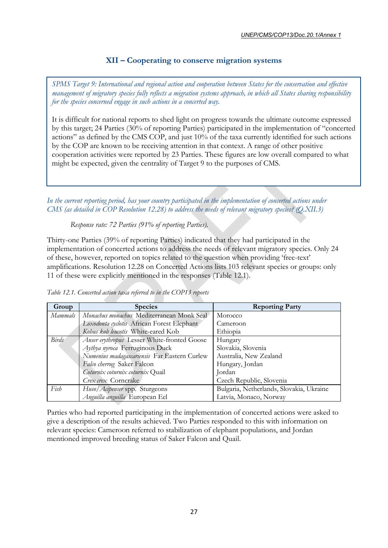## **XII – Cooperating to conserve migration systems**

<span id="page-31-0"></span>*SPMS Target 9: International and regional action and cooperation between States for the conservation and effective management of migratory species fully reflects a migration systems approach, in which all States sharing responsibility for the species concerned engage in such actions in a concerted way.*

It is difficult for national reports to shed light on progress towards the ultimate outcome expressed by this target; 24 Parties (30% of reporting Parties) participated in the implementation of "concerted actions" as defined by the CMS COP, and just 10% of the taxa currently identified for such actions by the COP are known to be receiving attention in that context. A range of other positive cooperation activities were reported by 23 Parties. These figures are low overall compared to what might be expected, given the centrality of Target 9 to the purposes of CMS.

*In the current reporting period, has your country participated in the implementation of concerted actions under CMS (as detailed in COP Resolution 12.28) to address the needs of relevant migratory species? (Q.XII.3)*

*Response rate: 72 Parties (91% of reporting Parties).*

Thirty-one Parties (39% of reporting Parties) indicated that they had participated in the implementation of concerted actions to address the needs of relevant migratory species. Only 24 of these, however, reported on topics related to the question when providing 'free-text' amplifications. Resolution 12.28 on Concerted Actions lists 103 relevant species or groups: only 11 of these were explicitly mentioned in the responses (Table 12.1).

| Group        | <b>Species</b>                               | <b>Reporting Party</b>                   |  |  |
|--------------|----------------------------------------------|------------------------------------------|--|--|
| Mammals      | Monachus monachus Mediterranean Monk Seal    | Morocco                                  |  |  |
|              | Loxodonta cyclotis African Forest Elephant   | Cameroon                                 |  |  |
|              | Kobus kob leucotis White-eared Kob           | Ethiopia                                 |  |  |
| <b>Birds</b> | Anser erythropus Lesser White-fronted Goose  | Hungary                                  |  |  |
|              | Aythya nyroca Ferruginous Duck               | Slovakia, Slovenia                       |  |  |
|              | Numenius madagascariensis Far Eastern Curlew | Australia, New Zealand                   |  |  |
|              | Falco cherrug Saker Falcon                   | Hungary, Jordan                          |  |  |
|              | Coturnix coturnix coturnix Quail             | Jordan                                   |  |  |
|              | Crex crex Corncrake                          | Czech Republic, Slovenia                 |  |  |
| Fish         | Huso/Acipenser spp. Sturgeons                | Bulgaria, Netherlands, Slovakia, Ukraine |  |  |
|              | Anguilla anguilla European Eel               | Latvia, Monaco, Norway                   |  |  |

*Table 12.1. Concerted action taxa referred to in the COP13 reports*

Parties who had reported participating in the implementation of concerted actions were asked to give a description of the results achieved. Two Parties responded to this with information on relevant species: Cameroon referred to stabilization of elephant populations, and Jordan mentioned improved breeding status of Saker Falcon and Quail.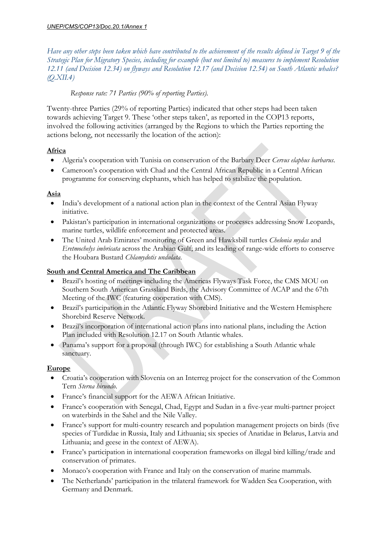*Have any other steps been taken which have contributed to the achievement of the results defined in Target 9 of the Strategic Plan for Migratory Species, including for example (but not limited to) measures to implement Resolution 12.11 (and Decision 12.34) on flyways and Resolution 12.17 (and Decision 12.54) on South Atlantic whales? (Q.XII.4)*

## *Response rate: 71 Parties (90% of reporting Parties).*

Twenty-three Parties (29% of reporting Parties) indicated that other steps had been taken towards achieving Target 9. These 'other steps taken', as reported in the COP13 reports, involved the following activities (arranged by the Regions to which the Parties reporting the actions belong, not necessarily the location of the action):

## **Africa**

- Algeria's cooperation with Tunisia on conservation of the Barbary Deer *Cervus elaphus barbarus*.
- Cameroon's cooperation with Chad and the Central African Republic in a Central African programme for conserving elephants, which has helped to stabilize the population.

## **Asia**

- India's development of a national action plan in the context of the Central Asian Flyway initiative.
- Pakistan's participation in international organizations or processes addressing Snow Leopards, marine turtles, wildlife enforcement and protected areas.
- The United Arab Emirates' monitoring of Green and Hawksbill turtles *Chelonia mydas* and *Eretmochelys imbricata* across the Arabian Gulf; and its leading of range-wide efforts to conserve the Houbara Bustard *Chlamydotis undulata*.

## **South and Central America and The Caribbean**

- Brazil's hosting of meetings including the Americas Flyways Task Force, the CMS MOU on Southern South American Grassland Birds, the Advisory Committee of ACAP and the 67th Meeting of the IWC (featuring cooperation with CMS).
- Brazil's participation in the Atlantic Flyway Shorebird Initiative and the Western Hemisphere Shorebird Reserve Network.
- Brazil's incorporation of international action plans into national plans, including the Action Plan included with Resolution 12.17 on South Atlantic whales.
- Panama's support for a proposal (through IWC) for establishing a South Atlantic whale sanctuary.

## **Europe**

- Croatia's cooperation with Slovenia on an Interreg project for the conservation of the Common Tern *Sterna hirundo*.
- France's financial support for the AEWA African Initiative.
- France's cooperation with Senegal, Chad, Egypt and Sudan in a five-year multi-partner project on waterbirds in the Sahel and the Nile Valley.
- France's support for multi-country research and population management projects on birds (five species of Turdidae in Russia, Italy and Lithuania; six species of Anatidae in Belarus, Latvia and Lithuania; and geese in the context of AEWA).
- France's participation in international cooperation frameworks on illegal bird killing/trade and conservation of primates.
- Monaco's cooperation with France and Italy on the conservation of marine mammals.
- The Netherlands' participation in the trilateral framework for Wadden Sea Cooperation, with Germany and Denmark.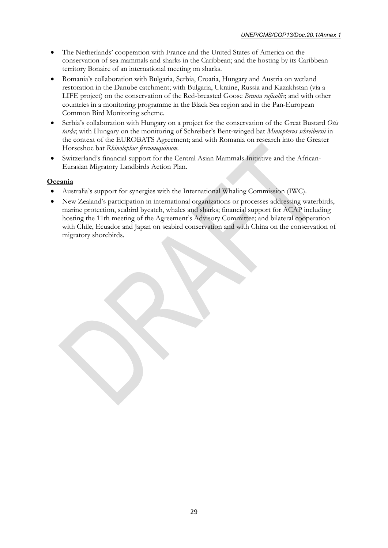- The Netherlands' cooperation with France and the United States of America on the conservation of sea mammals and sharks in the Caribbean; and the hosting by its Caribbean territory Bonaire of an international meeting on sharks.
- Romania's collaboration with Bulgaria, Serbia, Croatia, Hungary and Austria on wetland restoration in the Danube catchment; with Bulgaria, Ukraine, Russia and Kazakhstan (via a LIFE project) on the conservation of the Red-breasted Goose *Branta ruficollis*; and with other countries in a monitoring programme in the Black Sea region and in the Pan-European Common Bird Monitoring scheme.
- Serbia's collaboration with Hungary on a project for the conservation of the Great Bustard *Otis tarda*; with Hungary on the monitoring of Schreiber's Bent-winged bat *Miniopterus schreibersii* in the context of the EUROBATS Agreement; and with Romania on research into the Greater Horseshoe bat *Rhinolophus ferrumequinum*.
- Switzerland's financial support for the Central Asian Mammals Initiative and the African-Eurasian Migratory Landbirds Action Plan.

#### **Oceania**

- Australia's support for synergies with the International Whaling Commission (IWC).
- New Zealand's participation in international organizations or processes addressing waterbirds, marine protection, seabird bycatch, whales and sharks; financial support for ACAP including hosting the 11th meeting of the Agreement's Advisory Committee; and bilateral cooperation with Chile, Ecuador and Japan on seabird conservation and with China on the conservation of migratory shorebirds.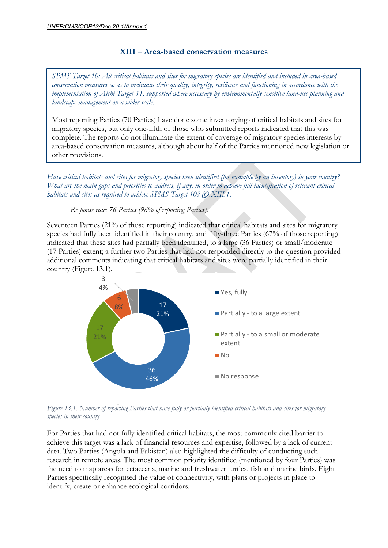## **XIII – Area-based conservation measures**

<span id="page-34-0"></span>*SPMS Target 10: All critical habitats and sites for migratory species are identified and included in area-based conservation measures so as to maintain their quality, integrity, resilience and functioning in accordance with the implementation of Aichi Target 11, supported where necessary by environmentally sensitive land-use planning and landscape management on a wider scale.*

Most reporting Parties (70 Parties) have done some inventorying of critical habitats and sites for migratory species, but only one-fifth of those who submitted reports indicated that this was complete. The reports do not illuminate the extent of coverage of migratory species interests by area-based conservation measures, although about half of the Parties mentioned new legislation or other provisions.

*Have critical habitats and sites for migratory species been identified (for example by an inventory) in your country? What are the main gaps and priorities to address, if any, in order to achieve full identification of relevant critical habitats and sites as required to achieve SPMS Target 10? (Q.XIII.1)*

*Response rate: 76 Parties (96% of reporting Parties).*

Seventeen Parties (21% of those reporting) indicated that critical habitats and sites for migratory species had fully been identified in their country, and fifty-three Parties (67% of those reporting) indicated that these sites had partially been identified, to a large (36 Parties) or small/moderate (17 Parties) extent; a further two Parties that had not responded directly to the question provided additional comments indicating that critical habitats and sites were partially identified in their country (Figure 13.1).



*Figure 13.1. Number of reporting Parties that have fully or partially identified critical habitats and sites for migratory species in their country*

For Parties that had not fully identified critical habitats, the most commonly cited barrier to achieve this target was a lack of financial resources and expertise, followed by a lack of current data. Two Parties (Angola and Pakistan) also highlighted the difficulty of conducting such research in remote areas. The most common priority identified (mentioned by four Parties) was the need to map areas for cetaceans, marine and freshwater turtles, fish and marine birds. Eight Parties specifically recognised the value of connectivity, with plans or projects in place to identify, create or enhance ecological corridors.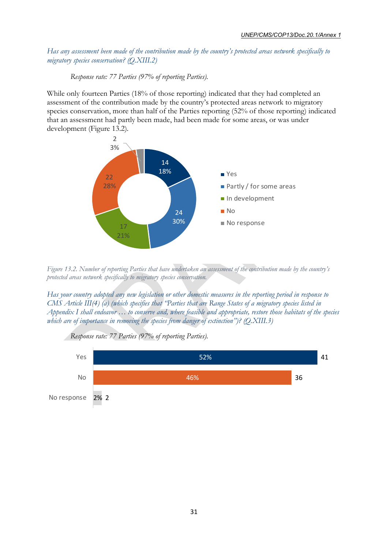*Has any assessment been made of the contribution made by the country's protected areas network specifically to migratory species conservation? (Q.XIII.2)*

#### *Response rate: 77 Parties (97% of reporting Parties).*

While only fourteen Parties (18% of those reporting) indicated that they had completed an assessment of the contribution made by the country's protected areas network to migratory species conservation, more than half of the Parties reporting (52% of those reporting) indicated that an assessment had partly been made, had been made for some areas, or was under development (Figure 13.2).



*Figure 13.2. Number of reporting Parties that have undertaken an assessment of the contribution made by the country's protected areas network specifically to migratory species conservation.*

*Has your country adopted any new legislation or other domestic measures in the reporting period in response to CMS Article III(4) (a) (which specifies that "Parties that are Range States of a migratory species listed in Appendix I shall endeavor … to conserve and, where feasible and appropriate, restore those habitats of the species which are of importance in removing the species from danger of extinction")? (Q.XIII.3)*



*Response rate: 77 Parties (97% of reporting Parties).*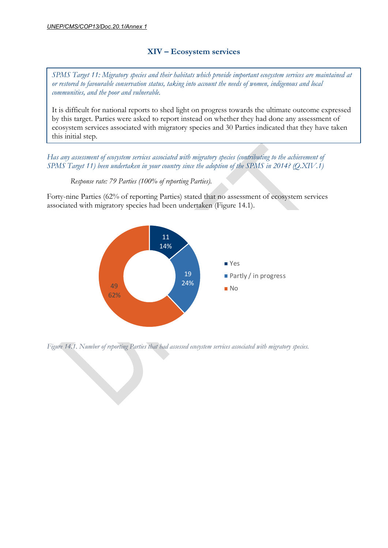## **XIV – Ecosystem services**

<span id="page-36-0"></span>*SPMS Target 11: Migratory species and their habitats which provide important ecosystem services are maintained at or restored to favourable conservation status, taking into account the needs of women, indigenous and local communities, and the poor and vulnerable.*

It is difficult for national reports to shed light on progress towards the ultimate outcome expressed by this target. Parties were asked to report instead on whether they had done any assessment of ecosystem services associated with migratory species and 30 Parties indicated that they have taken this initial step.

*Has any assessment of ecosystem services associated with migratory species (contributing to the achievement of SPMS Target 11) been undertaken in your country since the adoption of the SPMS in 2014? (Q.XIV.1)*

*Response rate: 79 Parties (100% of reporting Parties).*

Forty-nine Parties (62% of reporting Parties) stated that no assessment of ecosystem services associated with migratory species had been undertaken (Figure 14.1).



*Figure 14.1. Number of reporting Parties that had assessed ecosystem services associated with migratory species.*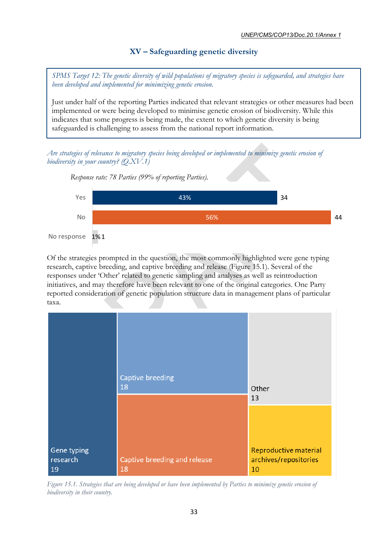## **XV – Safeguarding genetic diversity**

<span id="page-37-0"></span>*SPMS Target 12: The genetic diversity of wild populations of migratory species is safeguarded, and strategies have been developed and implemented for minimizing genetic erosion.*

Just under half of the reporting Parties indicated that relevant strategies or other measures had been implemented or were being developed to minimise genetic erosion of biodiversity. While this indicates that some progress is being made, the extent to which genetic diversity is being safeguarded is challenging to assess from the national report information.

*Are strategies of relevance to migratory species being developed or implemented to minimize genetic erosion of biodiversity in your country? (Q.XV.1)*



Of the strategies prompted in the question, the most commonly highlighted were gene typing research, captive breeding, and captive breeding and release (Figure 15.1). Several of the responses under 'Other' related to genetic sampling and analyses as well as reintroduction initiatives, and may therefore have been relevant to one of the original categories. One Party reported consideration of genetic population structure data in management plans of particular taxa.



*Figure 15.1. Strategies that are being developed or have been implemented by Parties to minimize genetic erosion of biodiversity in their country.*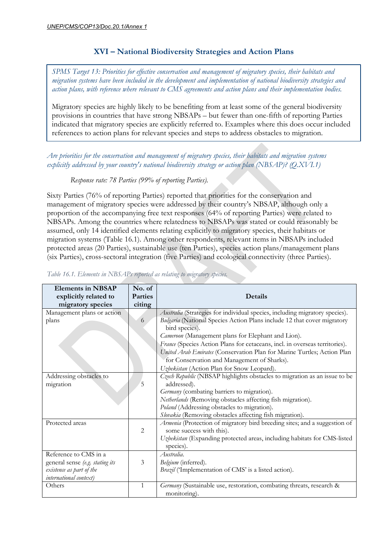## **XVI – National Biodiversity Strategies and Action Plans**

<span id="page-38-0"></span>*SPMS Target 13: Priorities for effective conservation and management of migratory species, their habitats and migration systems have been included in the development and implementation of national biodiversity strategies and action plans, with reference where relevant to CMS agreements and action plans and their implementation bodies.*

Migratory species are highly likely to be benefiting from at least some of the general biodiversity provisions in countries that have strong NBSAPs – but fewer than one-fifth of reporting Parties indicated that migratory species are explicitly referred to. Examples where this does occur included references to action plans for relevant species and steps to address obstacles to migration.

*Are priorities for the conservation and management of migratory species, their habitats and migration systems explicitly addressed by your country's national biodiversity strategy or action plan (NBSAP)? (Q.XVI.1)*

*Response rate: 78 Parties (99% of reporting Parties).*

Sixty Parties (76% of reporting Parties) reported that priorities for the conservation and management of migratory species were addressed by their country's NBSAP, although only a proportion of the accompanying free text responses (64% of reporting Parties) were related to NBSAPs. Among the countries where relatedness to NBSAPs was stated or could reasonably be assumed, only 14 identified elements relating explicitly to migratory species, their habitats or migration systems (Table 16.1). Among other respondents, relevant items in NBSAPs included protected areas (20 Parties), sustainable use (ten Parties), species action plans/management plans (six Parties), cross-sectoral integration (five Parties) and ecological connectivity (three Parties).

| <b>Elements in NBSAP</b><br>explicitly related to<br>migratory species                                         | No. of<br><b>Parties</b><br>citing | Details                                                                                                                                                                                                                                                                                                                                                                                                                                 |
|----------------------------------------------------------------------------------------------------------------|------------------------------------|-----------------------------------------------------------------------------------------------------------------------------------------------------------------------------------------------------------------------------------------------------------------------------------------------------------------------------------------------------------------------------------------------------------------------------------------|
| Management plans or action<br>plans                                                                            | 6                                  | Australia (Strategies for individual species, including migratory species).<br>Bulgaria (National Species Action Plans include 12 that cover migratory<br>bird species).<br>Cameroon (Management plans for Elephant and Lion).<br>France (Species Action Plans for cetaceans, incl. in overseas territories).<br>United Arab Emirates (Conservation Plan for Marine Turtles; Action Plan<br>for Conservation and Management of Sharks). |
| Addressing obstacles to<br>migration                                                                           | 5                                  | Uzbekistan (Action Plan for Snow Leopard).<br>Czech Republic (NBSAP highlights obstacles to migration as an issue to be<br>addressed).<br>Germany (combating barriers to migration).<br>Netherlands (Removing obstacles affecting fish migration).<br>Poland (Addressing obstacles to migration).<br>Slovakia (Removing obstacles affecting fish migration).                                                                            |
| Protected areas                                                                                                | 2                                  | Armenia (Protection of migratory bird breeding sites; and a suggestion of<br>some success with this).<br>Uzbekistan (Expanding protected areas, including habitats for CMS-listed<br>species).                                                                                                                                                                                                                                          |
| Reference to CMS in a<br>general sense (e.g. stating its<br>existence as part of the<br>international context) | 3                                  | Australia.<br>Belgium (inferred).<br>Brazil ('Implementation of CMS' is a listed action).                                                                                                                                                                                                                                                                                                                                               |
| Others                                                                                                         | $\mathbf{1}$                       | Germany (Sustainable use, restoration, combating threats, research &<br>monitoring).                                                                                                                                                                                                                                                                                                                                                    |

*Table 16.1. Elements in NBSAPs reported as relating to migratory species.*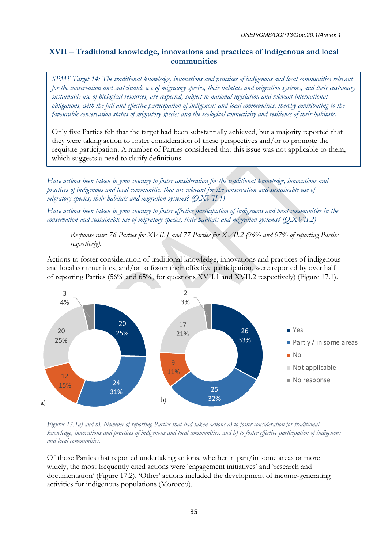## <span id="page-39-0"></span>**XVII – Traditional knowledge, innovations and practices of indigenous and local communities**

*SPMS Target 14: The traditional knowledge, innovations and practices of indigenous and local communities relevant for the conservation and sustainable use of migratory species, their habitats and migration systems, and their customary sustainable use of biological resources, are respected, subject to national legislation and relevant international obligations, with the full and effective participation of indigenous and local communities, thereby contributing to the favourable conservation status of migratory species and the ecological connectivity and resilience of their habitats.*

Only five Parties felt that the target had been substantially achieved, but a majority reported that they were taking action to foster consideration of these perspectives and/or to promote the requisite participation. A number of Parties considered that this issue was not applicable to them, which suggests a need to clarify definitions.

*Have actions been taken in your country to foster consideration for the traditional knowledge, innovations and practices of indigenous and local communities that are relevant for the conservation and sustainable use of migratory species, their habitats and migration systems? (Q.XVII.1)*

*Have actions been taken in your country to foster effective participation of indigenous and local communities in the conservation and sustainable use of migratory species, their habitats and migration systems? (Q.XVII.2)*

*Response rate: 76 Parties for XVII.1 and 77 Parties for XVII.2 (96% and 97% of reporting Parties respectively).*

Actions to foster consideration of traditional knowledge, innovations and practices of indigenous and local communities, and/or to foster their effective participation, were reported by over half of reporting Parties (56% and 65%, for questions XVII.1 and XVII.2 respectively) (Figure 17.1).



*Figures 17.1a) and b). Number of reporting Parties that had taken actions a) to foster consideration for traditional knowledge, innovations and practices of indigenous and local communities, and b) to foster effective participation of indigenous and local communities.*

Of those Parties that reported undertaking actions, whether in part/in some areas or more widely, the most frequently cited actions were 'engagement initiatives' and 'research and documentation' (Figure 17.2). 'Other' actions included the development of income-generating activities for indigenous populations (Morocco).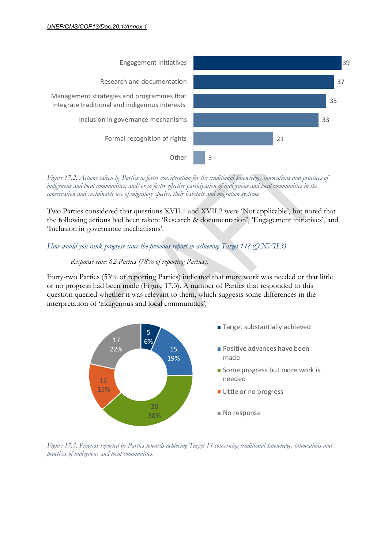

*Figure 17.2. Actions taken by Parties to foster consideration for the traditional knowledge, innovations and practices of indigenous and local communities, and/or to foster effective participation of indigenous and local communities in the conservation and sustainable use of migratory species, their habitats and migration systems.*

Two Parties considered that questions XVII.1 and XVII.2 were 'Not applicable', but noted that the following actions had been taken: 'Research & documentation', 'Engagement initiatives', and 'Inclusion in governance mechanisms'.

#### *How would you rank progress since the previous report in achieving Target 14? (Q.XVII.3)*

#### *Response rate: 62 Parties (78% of reporting Parties).*

Forty-two Parties (53% of reporting Parties) indicated that more work was needed or that little or no progress had been made (Figure 17.3). A number of Parties that responded to this question queried whether it was relevant to them, which suggests some differences in the interpretation of 'indigenous and local communities'.



*Figure 17.3. Progress reported by Parties towards achieving Target 14 concerning traditional knowledge, innovations and practices of indigenous and local communities.*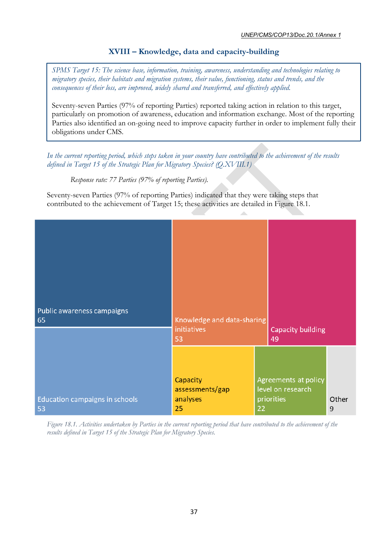## <span id="page-41-0"></span>**XVIII – Knowledge, data and capacity-building**

*SPMS Target 15: The science base, information, training, awareness, understanding and technologies relating to migratory species, their habitats and migration systems, their value, functioning, status and trends, and the consequences of their loss, are improved, widely shared and transferred, and effectively applied.*

Seventy-seven Parties (97% of reporting Parties) reported taking action in relation to this target, particularly on promotion of awareness, education and information exchange. Most of the reporting Parties also identified an on-going need to improve capacity further in order to implement fully their obligations under CMS.

*In the current reporting period, which steps taken in your country have contributed to the achievement of the results defined in Target 15 of the Strategic Plan for Migratory Species? (Q.XVIII.1)*

*Response rate: 77 Parties (97% of reporting Parties).*

Seventy-seven Parties (97% of reporting Parties) indicated that they were taking steps that contributed to the achievement of Target 15; these activities are detailed in Figure 18.1.

| Public awareness campaigns<br>65     | Knowledge and data-sharing<br>initiatives<br>53 |    | <b>Capacity building</b><br>49                          |            |
|--------------------------------------|-------------------------------------------------|----|---------------------------------------------------------|------------|
| Education campaigns in schools<br>53 | Capacity<br>assessments/gap<br>analyses<br>25   | 22 | Agreements at policy<br>level on research<br>priorities | Other<br>9 |

*Figure 18.1. Activities undertaken by Parties in the current reporting period that have contributed to the achievement of the results defined in Target 15 of the Strategic Plan for Migratory Species.*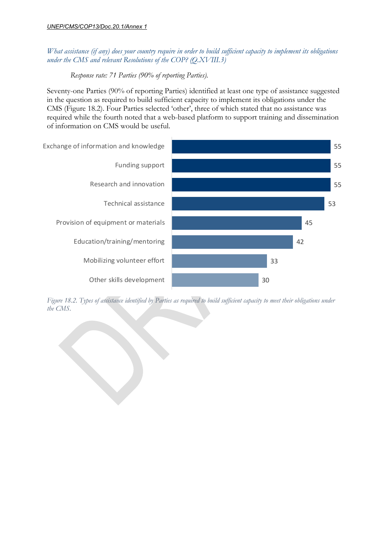## *What assistance (if any) does your country require in order to build sufficient capacity to implement its obligations under the CMS and relevant Resolutions of the COP? (Q.XVIII.3)*

*Response rate: 71 Parties (90% of reporting Parties).*

Seventy-one Parties (90% of reporting Parties) identified at least one type of assistance suggested in the question as required to build sufficient capacity to implement its obligations under the CMS (Figure 18.2). Four Parties selected 'other', three of which stated that no assistance was required while the fourth noted that a web-based platform to support training and dissemination of information on CMS would be useful.



*Figure 18.2. Types of assistance identified by Parties as required to build sufficient capacity to meet their obligations under the CMS.*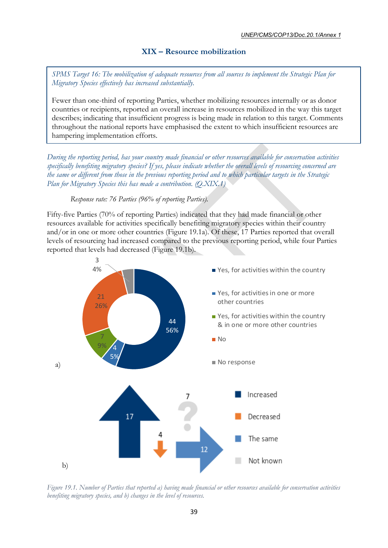## **XIX – Resource mobilization**

<span id="page-43-0"></span>*SPMS Target 16: The mobilization of adequate resources from all sources to implement the Strategic Plan for Migratory Species effectively has increased substantially.*

Fewer than one-third of reporting Parties, whether mobilizing resources internally or as donor countries or recipients, reported an overall increase in resources mobilized in the way this target describes; indicating that insufficient progress is being made in relation to this target. Comments throughout the national reports have emphasised the extent to which insufficient resources are hampering implementation efforts.

*During the reporting period, has your country made financial or other resources available for conservation activities specifically benefiting migratory species? If yes, please indicate whether the overall levels of resourcing concerned are the same or different from those in the previous reporting period and to which particular targets in the Strategic Plan for Migratory Species this has made a contribution. (Q.XIX.1)*

*Response rate: 76 Parties (96% of reporting Parties).*

Fifty-five Parties (70% of reporting Parties) indicated that they had made financial or other resources available for activities specifically benefiting migratory species within their country and/or in one or more other countries (Figure 19.1a). Of these, 17 Parties reported that overall levels of resourcing had increased compared to the previous reporting period, while four Parties reported that levels had decreased (Figure 19.1b).



*Figure 19.1. Number of Parties that reported a) having made financial or other resources available for conservation activities benefiting migratory species, and b) changes in the level of resources.*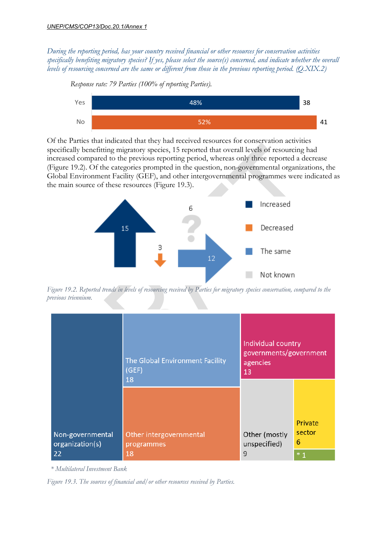*Response rate: 79 Parties (100% of reporting Parties).*

*During the reporting period, has your country received financial or other resources for conservation activities specifically benefiting migratory species? If yes, please select the source(s) concerned, and indicate whether the overall levels of resourcing concerned are the same or different from those in the previous reporting period. (Q.XIX.2)*



Of the Parties that indicated that they had received resources for conservation activities specifically benefitting migratory species, 15 reported that overall levels of resourcing had increased compared to the previous reporting period, whereas only three reported a decrease (Figure 19.2). Of the categories prompted in the question, non-governmental organizations, the Global Environment Facility (GEF), and other intergovernmental programmes were indicated as the main source of these resources (Figure 19.3).



*Figure 19.2. Reported trends in levels of resourcing received by Parties for migratory species conservation, compared to the previous triennium.*

|                                           | The Global Environment Facility<br>(GEF)<br>18 | Individual country<br>governments/government<br>agencies<br>13 |                                |  |
|-------------------------------------------|------------------------------------------------|----------------------------------------------------------------|--------------------------------|--|
| Non-governmental<br>organization(s)<br>22 | Other intergovernmental<br>programmes<br>18    | Other (mostly<br>unspecified)<br>9                             | Private<br>sector<br>6<br>$*1$ |  |

 *\* Multilateral Investment Bank*

*Figure 19.3. The sources of financial and/or other resources received by Parties.*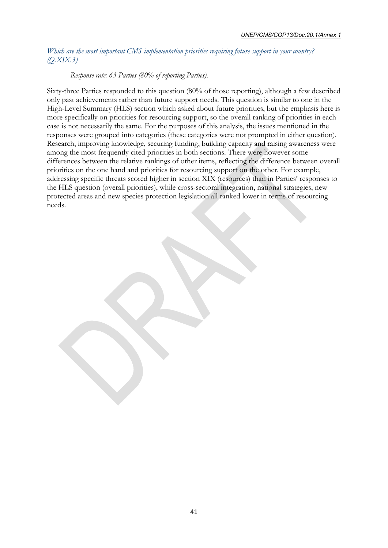#### *Which are the most important CMS implementation priorities requiring future support in your country? (Q.XIX.3)*

#### *Response rate: 63 Parties (80% of reporting Parties).*

Sixty-three Parties responded to this question (80% of those reporting), although a few described only past achievements rather than future support needs. This question is similar to one in the High-Level Summary (HLS) section which asked about future priorities, but the emphasis here is more specifically on priorities for resourcing support, so the overall ranking of priorities in each case is not necessarily the same. For the purposes of this analysis, the issues mentioned in the responses were grouped into categories (these categories were not prompted in either question). Research, improving knowledge, securing funding, building capacity and raising awareness were among the most frequently cited priorities in both sections. There were however some differences between the relative rankings of other items, reflecting the difference between overall priorities on the one hand and priorities for resourcing support on the other. For example, addressing specific threats scored higher in section XIX (resources) than in Parties' responses to the HLS question (overall priorities), while cross-sectoral integration, national strategies, new protected areas and new species protection legislation all ranked lower in terms of resourcing needs.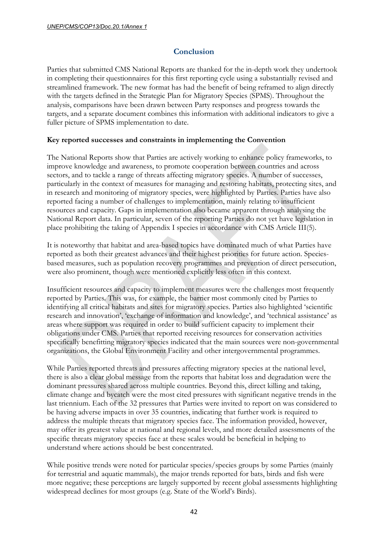## **Conclusion**

<span id="page-46-0"></span>Parties that submitted CMS National Reports are thanked for the in-depth work they undertook in completing their questionnaires for this first reporting cycle using a substantially revised and streamlined framework. The new format has had the benefit of being reframed to align directly with the targets defined in the Strategic Plan for Migratory Species (SPMS). Throughout the analysis, comparisons have been drawn between Party responses and progress towards the targets, and a separate document combines this information with additional indicators to give a fuller picture of SPMS implementation to date.

## **Key reported successes and constraints in implementing the Convention**

The National Reports show that Parties are actively working to enhance policy frameworks, to improve knowledge and awareness, to promote cooperation between countries and across sectors, and to tackle a range of threats affecting migratory species. A number of successes, particularly in the context of measures for managing and restoring habitats, protecting sites, and in research and monitoring of migratory species, were highlighted by Parties. Parties have also reported facing a number of challenges to implementation, mainly relating to insufficient resources and capacity. Gaps in implementation also became apparent through analysing the National Report data. In particular, seven of the reporting Parties do not yet have legislation in place prohibiting the taking of Appendix I species in accordance with CMS Article III(5).

It is noteworthy that habitat and area-based topics have dominated much of what Parties have reported as both their greatest advances and their highest priorities for future action. Speciesbased measures, such as population recovery programmes and prevention of direct persecution, were also prominent, though were mentioned explicitly less often in this context.

Insufficient resources and capacity to implement measures were the challenges most frequently reported by Parties. This was, for example, the barrier most commonly cited by Parties to identifying all critical habitats and sites for migratory species. Parties also highlighted 'scientific research and innovation', 'exchange of information and knowledge', and 'technical assistance' as areas where support was required in order to build sufficient capacity to implement their obligations under CMS. Parties that reported receiving resources for conservation activities specifically benefitting migratory species indicated that the main sources were non-governmental organizations, the Global Environment Facility and other intergovernmental programmes.

While Parties reported threats and pressures affecting migratory species at the national level, there is also a clear global message from the reports that habitat loss and degradation were the dominant pressures shared across multiple countries. Beyond this, direct killing and taking, climate change and bycatch were the most cited pressures with significant negative trends in the last triennium. Each of the 32 pressures that Parties were invited to report on was considered to be having adverse impacts in over 35 countries, indicating that further work is required to address the multiple threats that migratory species face. The information provided, however, may offer its greatest value at national and regional levels, and more detailed assessments of the specific threats migratory species face at these scales would be beneficial in helping to understand where actions should be best concentrated.

While positive trends were noted for particular species/species groups by some Parties (mainly for terrestrial and aquatic mammals), the major trends reported for bats, birds and fish were more negative; these perceptions are largely supported by recent global assessments highlighting widespread declines for most groups (e.g. State of the World's Birds).